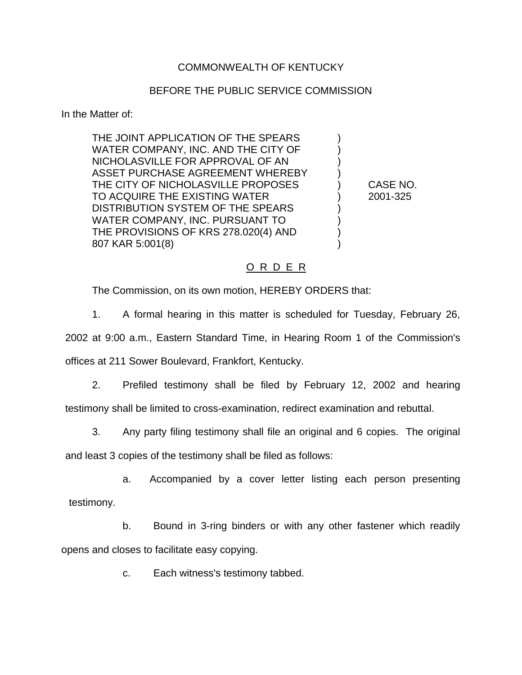## COMMONWEALTH OF KENTUCKY

## BEFORE THE PUBLIC SERVICE COMMISSION

In the Matter of:

THE JOINT APPLICATION OF THE SPEARS ) WATER COMPANY, INC. AND THE CITY OF NICHOLASVILLE FOR APPROVAL OF AN ) ASSET PURCHASE AGREEMENT WHEREBY  $\qquad \qquad$  ) THE CITY OF NICHOLASVILLE PROPOSES ) CASE NO. TO ACQUIRE THE EXISTING WATER ) 2001-325 DISTRIBUTION SYSTEM OF THE SPEARS  $\qquad \qquad )$ WATER COMPANY, INC. PURSUANT TO THE PROVISIONS OF KRS 278.020(4) AND ) 807 KAR 5:001(8)

## O R D E R

The Commission, on its own motion, HEREBY ORDERS that:

1. A formal hearing in this matter is scheduled for Tuesday, February 26, 2002 at 9:00 a.m., Eastern Standard Time, in Hearing Room 1 of the Commission's

offices at 211 Sower Boulevard, Frankfort, Kentucky.

2. Prefiled testimony shall be filed by February 12, 2002 and hearing testimony shall be limited to cross-examination, redirect examination and rebuttal.

3. Any party filing testimony shall file an original and 6 copies. The original

and least 3 copies of the testimony shall be filed as follows:

a. Accompanied by a cover letter listing each person presenting testimony.

b. Bound in 3-ring binders or with any other fastener which readily opens and closes to facilitate easy copying.

c. Each witness's testimony tabbed.